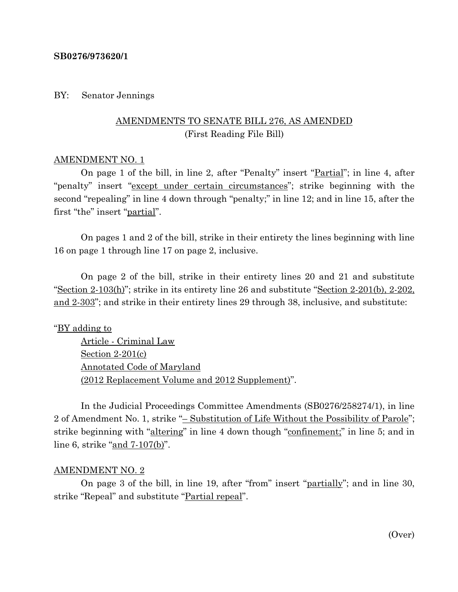### **SB0276/973620/1**

## BY: Senator Jennings

# AMENDMENTS TO SENATE BILL 276, AS AMENDED (First Reading File Bill)

### AMENDMENT NO. 1

On page 1 of the bill, in line 2, after "Penalty" insert "Partial"; in line 4, after "penalty" insert "except under certain circumstances"; strike beginning with the second "repealing" in line 4 down through "penalty;" in line 12; and in line 15, after the first "the" insert "partial".

On pages 1 and 2 of the bill, strike in their entirety the lines beginning with line 16 on page 1 through line 17 on page 2, inclusive.

On page 2 of the bill, strike in their entirety lines 20 and 21 and substitute "Section 2-103(h)"; strike in its entirety line 26 and substitute "Section 2-201(b), 2-202, and 2-303"; and strike in their entirety lines 29 through 38, inclusive, and substitute:

## "BY adding to

Article - Criminal Law Section 2-201(c) Annotated Code of Maryland (2012 Replacement Volume and 2012 Supplement)".

In the Judicial Proceedings Committee Amendments (SB0276/258274/1), in line 2 of Amendment No. 1, strike "– Substitution of Life Without the Possibility of Parole"; strike beginning with "altering" in line 4 down though "confinement;" in line 5; and in line 6, strike "and 7-107(b)".

#### AMENDMENT NO. 2

On page 3 of the bill, in line 19, after "from" insert "partially"; and in line 30, strike "Repeal" and substitute "Partial repeal".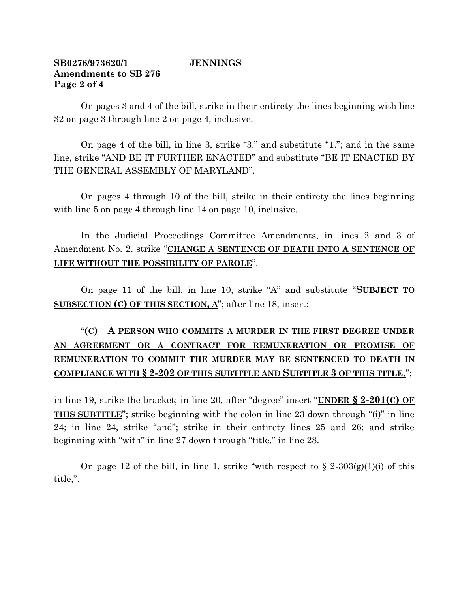## **SB0276/973620/1 JENNINGS Amendments to SB 276 Page 2 of 4**

On pages 3 and 4 of the bill, strike in their entirety the lines beginning with line 32 on page 3 through line 2 on page 4, inclusive.

On page 4 of the bill, in line 3, strike "3." and substitute "1."; and in the same line, strike "AND BE IT FURTHER ENACTED" and substitute "BE IT ENACTED BY THE GENERAL ASSEMBLY OF MARYLAND".

On pages 4 through 10 of the bill, strike in their entirety the lines beginning with line 5 on page 4 through line 14 on page 10, inclusive.

In the Judicial Proceedings Committee Amendments, in lines 2 and 3 of Amendment No. 2, strike "**CHANGE A SENTENCE OF DEATH INTO A SENTENCE OF LIFE WITHOUT THE POSSIBILITY OF PAROLE**".

On page 11 of the bill, in line 10, strike "A" and substitute "**SUBJECT TO SUBSECTION (C) OF THIS SECTION, A**"; after line 18, insert:

# "**(C) A PERSON WHO COMMITS A MURDER IN THE FIRST DEGREE UNDER AN AGREEMENT OR A CONTRACT FOR REMUNERATION OR PROMISE OF REMUNERATION TO COMMIT THE MURDER MAY BE SENTENCED TO DEATH IN COMPLIANCE WITH § 2-202 OF THIS SUBTITLE AND SUBTITLE 3 OF THIS TITLE.**";

in line 19, strike the bracket; in line 20, after "degree" insert "**UNDER § 2-201(C) OF THIS SUBTITLE**"; strike beginning with the colon in line 23 down through "(i)" in line 24; in line 24, strike "and"; strike in their entirety lines 25 and 26; and strike beginning with "with" in line 27 down through "title," in line 28.

On page 12 of the bill, in line 1, strike "with respect to  $\S 2-303(g)(1)(i)$  of this title,".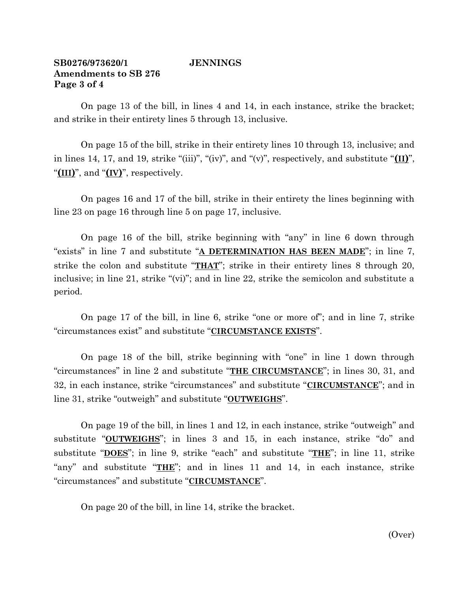## **SB0276/973620/1 JENNINGS Amendments to SB 276 Page 3 of 4**

On page 13 of the bill, in lines 4 and 14, in each instance, strike the bracket; and strike in their entirety lines 5 through 13, inclusive.

On page 15 of the bill, strike in their entirety lines 10 through 13, inclusive; and in lines 14, 17, and 19, strike "(iii)", "(iv)", and "(v)", respectively, and substitute "**(II)**", "**(III)**", and "**(IV)**", respectively.

On pages 16 and 17 of the bill, strike in their entirety the lines beginning with line 23 on page 16 through line 5 on page 17, inclusive.

On page 16 of the bill, strike beginning with "any" in line 6 down through "exists" in line 7 and substitute "**A DETERMINATION HAS BEEN MADE**"; in line 7, strike the colon and substitute "**THAT**"; strike in their entirety lines 8 through 20, inclusive; in line 21, strike "(vi)"; and in line 22, strike the semicolon and substitute a period.

On page 17 of the bill, in line 6, strike "one or more of"; and in line 7, strike "circumstances exist" and substitute "**CIRCUMSTANCE EXISTS**".

On page 18 of the bill, strike beginning with "one" in line 1 down through "circumstances" in line 2 and substitute "**THE CIRCUMSTANCE**"; in lines 30, 31, and 32, in each instance, strike "circumstances" and substitute "**CIRCUMSTANCE**"; and in line 31, strike "outweigh" and substitute "**OUTWEIGHS**".

On page 19 of the bill, in lines 1 and 12, in each instance, strike "outweigh" and substitute "**OUTWEIGHS**"; in lines 3 and 15, in each instance, strike "do" and substitute "**DOES**"; in line 9, strike "each" and substitute "**THE**"; in line 11, strike "any" and substitute "**THE**"; and in lines 11 and 14, in each instance, strike "circumstances" and substitute "**CIRCUMSTANCE**".

On page 20 of the bill, in line 14, strike the bracket.